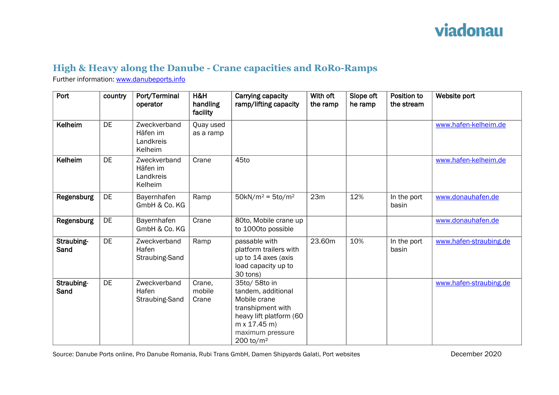## viadonau

## **High & Heavy along the Danube - Crane capacities and RoRo-Ramps**

Further information: [www.danubeports.info](http://www.danubeports.info/)

| Port               | country   | Port/Terminal<br>operator                        | H&H<br>handling<br>facility | Carrying capacity<br>ramp/lifting capacity                                                                                                                                     | With oft<br>the ramp | Slope oft<br>he ramp | Position to<br>the stream | Website port           |
|--------------------|-----------|--------------------------------------------------|-----------------------------|--------------------------------------------------------------------------------------------------------------------------------------------------------------------------------|----------------------|----------------------|---------------------------|------------------------|
| Kelheim            | DE        | Zweckverband<br>Häfen im<br>Landkreis<br>Kelheim | Quay used<br>as a ramp      |                                                                                                                                                                                |                      |                      |                           | www.hafen-kelheim.de   |
| Kelheim            | <b>DE</b> | Zweckverband<br>Häfen im<br>Landkreis<br>Kelheim | Crane                       | 45to                                                                                                                                                                           |                      |                      |                           | www.hafen-kelheim.de   |
| Regensburg         | DE        | Bayernhafen<br>GmbH & Co. KG                     | Ramp                        | $50kN/m^2 = 5to/m^2$                                                                                                                                                           | 23m                  | 12%                  | In the port<br>basin      | www.donauhafen.de      |
| Regensburg         | DE        | Bayernhafen<br>GmbH & Co. KG                     | Crane                       | 80to, Mobile crane up<br>to 1000to possible                                                                                                                                    |                      |                      |                           | www.donauhafen.de      |
| Straubing-<br>Sand | DE        | Zweckverband<br>Hafen<br>Straubing-Sand          | Ramp                        | passable with<br>platform trailers with<br>up to 14 axes (axis<br>load capacity up to<br>30 tons)                                                                              | 23.60m               | 10%                  | In the port<br>basin      | www.hafen-straubing.de |
| Straubing-<br>Sand | <b>DE</b> | Zweckverband<br>Hafen<br>Straubing-Sand          | Crane,<br>mobile<br>Crane   | 35to/ 58to in<br>tandem, additional<br>Mobile crane<br>transhipment with<br>heavy lift platform (60<br>$m \times 17.45 m$<br>maximum pressure<br>$200 \text{ to} / \text{m}^2$ |                      |                      |                           | www.hafen-straubing.de |

Source: Danube Ports online, Pro Danube Romania, Rubi Trans GmbH, Damen Shipyards Galati, Port websites December 2020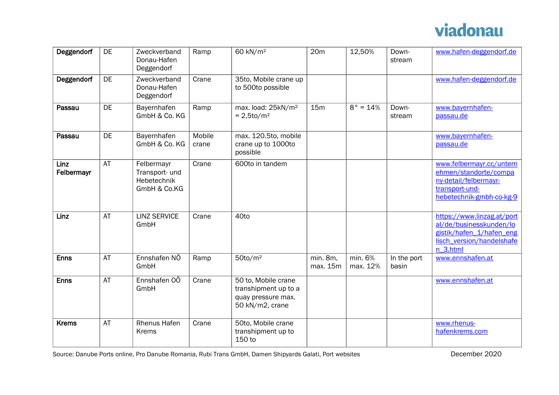## viadonau

| Deggendorf         | DE        | Zweckverband<br>Donau-Hafen<br>Deggendorf                   | Ramp            | 60 kN/m <sup>2</sup>                                                                 | 20m                  | 12,50%              | Down-<br>stream      | www.hafen-deggendorf.de                                                                                                    |
|--------------------|-----------|-------------------------------------------------------------|-----------------|--------------------------------------------------------------------------------------|----------------------|---------------------|----------------------|----------------------------------------------------------------------------------------------------------------------------|
| Deggendorf         | <b>DE</b> | Zweckverband<br>Donau-Hafen<br>Deggendorf                   | Crane           | 35to, Mobile crane up<br>to 500to possible                                           |                      |                     |                      | www.hafen-deggendorf.de                                                                                                    |
| Passau             | DE        | Bayernhafen<br>GmbH & Co. KG                                | Ramp            | max. load: 25kN/m <sup>2</sup><br>$= 2.5$ to/m <sup>2</sup>                          | 15m                  | $8° = 14%$          | Down-<br>stream      | www.bayernhafen-<br>passau.de                                                                                              |
| Passau             | DE        | Bayernhafen<br>GmbH & Co. KG                                | Mobile<br>crane | max. 120.5to, mobile<br>crane up to 1000to<br>possible                               |                      |                     |                      | www.bayernhafen-<br>passau.de                                                                                              |
| Linz<br>Felbermayr | AT        | Felbermayr<br>Transport- und<br>Hebetechnik<br>GmbH & Co.KG | Crane           | 600to in tandem                                                                      |                      |                     |                      | www.felbermayr.cc/untern<br>ehmen/standorte/compa<br>ny-detail/felbermayr-<br>transport-und-<br>hebetechnik-gmbh-co-kg-9   |
| Linz               | AT        | <b>LINZ SERVICE</b><br>GmbH                                 | Crane           | 40to                                                                                 |                      |                     |                      | https://www.linzag.at/port<br>al/de/businesskunden/lo<br>gistik/hafen 1/hafen eng<br>lisch version/handelshafe<br>n 3.html |
| <b>Enns</b>        | <b>AT</b> | Ennshafen NÖ<br>GmbH                                        | Ramp            | $50$ to/m <sup>2</sup>                                                               | min. 8m,<br>max. 15m | min. 6%<br>max. 12% | In the port<br>basin | www.ennshafen.at                                                                                                           |
| <b>Enns</b>        | AT        | Ennshafen OÖ<br>GmbH                                        | Crane           | 50 to, Mobile crane<br>transhipment up to a<br>quay pressure max.<br>50 kN/m2, crane |                      |                     |                      | www.ennshafen.at                                                                                                           |
| <b>Krems</b>       | AT        | Rhenus Hafen<br><b>Krems</b>                                | Crane           | 50to, Mobile crane<br>transhipment up to<br>150 to                                   |                      |                     |                      | www.rhenus-<br>hafenkrems.com                                                                                              |

Source: Danube Ports online, Pro Danube Romania, Rubi Trans GmbH, Damen Shipyards Galati, Port websites December 2020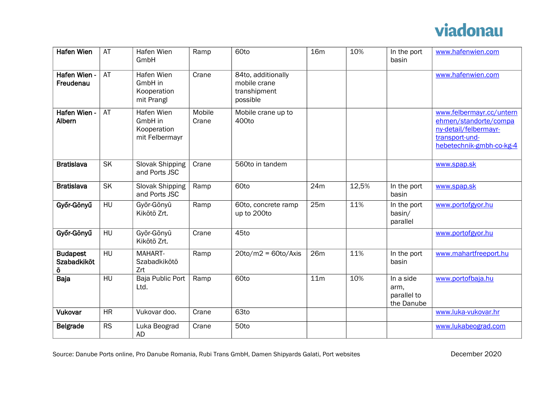

| <b>Hafen Wien</b>                          | AT        | Hafen Wien<br>GmbH                                     | Ramp            | 60to                                                           | <b>16m</b>      | 10%   | In the port<br>basin                           | www.hafenwien.com                                                                                                        |
|--------------------------------------------|-----------|--------------------------------------------------------|-----------------|----------------------------------------------------------------|-----------------|-------|------------------------------------------------|--------------------------------------------------------------------------------------------------------------------------|
| Hafen Wien -<br>Freudenau                  | AT        | Hafen Wien<br>GmbH in<br>Kooperation<br>mit Prangl     | Crane           | 84to, additionally<br>mobile crane<br>transhipment<br>possible |                 |       |                                                | www.hafenwien.com                                                                                                        |
| Hafen Wien -<br>Albern                     | AT        | Hafen Wien<br>GmbH in<br>Kooperation<br>mit Felbermayr | Mobile<br>Crane | Mobile crane up to<br>400to                                    |                 |       |                                                | www.felbermayr.cc/untern<br>ehmen/standorte/compa<br>ny-detail/felbermayr-<br>transport-und-<br>hebetechnik-gmbh-co-kg-4 |
| <b>Bratislava</b>                          | <b>SK</b> | Slovak Shipping<br>and Ports JSC                       | Crane           | 560to in tandem                                                |                 |       |                                                | www.spap.sk                                                                                                              |
| <b>Bratislava</b>                          | <b>SK</b> | Slovak Shipping<br>and Ports JSC                       | Ramp            | 60to                                                           | 24m             | 12,5% | In the port<br>basin                           | www.spap.sk                                                                                                              |
| Győr-Gönyű                                 | HU        | Győr-Gõnyû<br>Kikötö Zrt.                              | Ramp            | 60to, concrete ramp<br>up to 200to                             | 25m             | 11%   | In the port<br>basin/<br>parallel              | www.portofgyor.hu                                                                                                        |
| Győr-Gönyű                                 | HU        | Győr-Gõnyû<br>Kikötö Zrt.                              | Crane           | 45to                                                           |                 |       |                                                | www.portofgyor.hu                                                                                                        |
| <b>Budapest</b><br><b>Szabadkiköt</b><br>Ö | HU        | MAHART-<br>Szabadkikötö<br>Zrt                         | Ramp            | $20$ to/m2 = 60to/Axis                                         | 26m             | 11%   | In the port<br>basin                           | www.mahartfreeport.hu                                                                                                    |
| Baja                                       | HU        | Baja Public Port<br>Ltd.                               | Ramp            | 60to                                                           | 11 <sub>m</sub> | 10%   | In a side<br>arm,<br>parallel to<br>the Danube | www.portofbaja.hu                                                                                                        |
| <b>Vukovar</b>                             | <b>HR</b> | Vukovar doo.                                           | Crane           | 63to                                                           |                 |       |                                                | www.luka-vukovar.hr                                                                                                      |
| <b>Belgrade</b>                            | <b>RS</b> | Luka Beograd<br><b>AD</b>                              | Crane           | 50to                                                           |                 |       |                                                | www.lukabeograd.com                                                                                                      |

Source: Danube Ports online, Pro Danube Romania, Rubi Trans GmbH, Damen Shipyards Galati, Port websites December 2020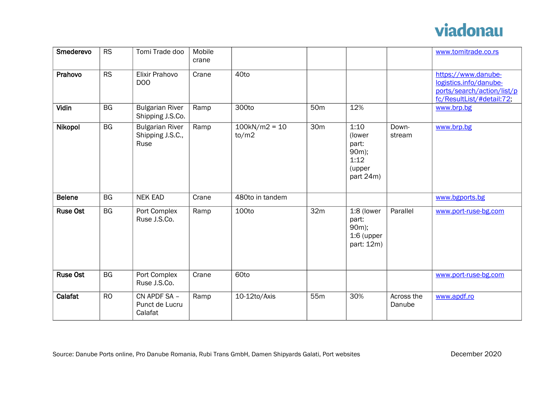

| Smederevo       | <b>RS</b> | Tomi Trade doo                                     | Mobile<br>crane |                          |                 |                                                                 |                      | www.tomitrade.co.rs                                                                                      |
|-----------------|-----------|----------------------------------------------------|-----------------|--------------------------|-----------------|-----------------------------------------------------------------|----------------------|----------------------------------------------------------------------------------------------------------|
| Prahovo         | RS        | Elixir Prahovo<br>D <sub>0</sub>                   | Crane           | 40to                     |                 |                                                                 |                      | https://www.danube-<br>logistics.info/danube-<br>ports/search/action/list/p<br>fc/ResultList/#detail:72; |
| Vidin           | <b>BG</b> | <b>Bulgarian River</b><br>Shipping J.S.Co.         | Ramp            | 300to                    | 50 <sub>m</sub> | 12%                                                             |                      | www.brp.bg                                                                                               |
| Nikopol         | BG        | <b>Bulgarian River</b><br>Shipping J.S.C.,<br>Ruse | Ramp            | $100kN/m2 = 10$<br>to/m2 | 30 <sub>m</sub> | 1:10<br>(lower<br>part:<br>90m);<br>1:12<br>(upper<br>part 24m) | Down-<br>stream      | www.brp.bg                                                                                               |
| <b>Belene</b>   | <b>BG</b> | <b>NEK EAD</b>                                     | Crane           | 480to in tandem          |                 |                                                                 |                      | www.bgports.bg                                                                                           |
| <b>Ruse Ost</b> | <b>BG</b> | Port Complex<br>Ruse J.S.Co.                       | Ramp            | 100to                    | 32 <sub>m</sub> | 1:8 (lower<br>part:<br>90m);<br>$1:6$ (upper<br>part: 12m)      | Parallel             | www.port-ruse-bg.com                                                                                     |
| <b>Ruse Ost</b> | <b>BG</b> | Port Complex<br>Ruse J.S.Co.                       | Crane           | 60to                     |                 |                                                                 |                      | www.port-ruse-bg.com                                                                                     |
| Calafat         | <b>RO</b> | CN APDF SA -<br>Punct de Lucru<br>Calafat          | Ramp            | 10-12to/Axis             | 55m             | 30%                                                             | Across the<br>Danube | www.apdf.ro                                                                                              |